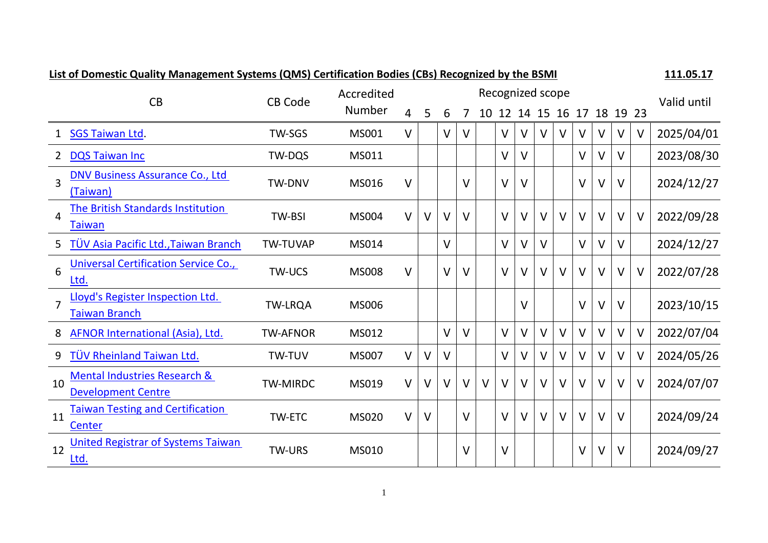<span id="page-0-0"></span>

| <u>List of Domestic Quality Management Systems (QMS) Certification Bodies (CBS) Recognized by the BSMI</u> |                                                                      |                 |                      |        |   |        |              |        |        |                            | <b>TTT'OD'T\</b> |        |        |        |        |        |             |
|------------------------------------------------------------------------------------------------------------|----------------------------------------------------------------------|-----------------|----------------------|--------|---|--------|--------------|--------|--------|----------------------------|------------------|--------|--------|--------|--------|--------|-------------|
|                                                                                                            | CB                                                                   | <b>CB Code</b>  | Accredited<br>Number |        |   |        |              |        |        | Recognized scope           |                  |        |        |        |        |        | Valid until |
|                                                                                                            |                                                                      |                 |                      | 4      | 5 | 6      | 7            |        |        | 10 12 14 15 16 17 18 19 23 |                  |        |        |        |        |        |             |
|                                                                                                            | 1 SGS Taiwan Ltd.                                                    | TW-SGS          | MS001                | V      |   | V      | $\vee$       |        | $\vee$ | V                          | V                | V      | V      | $\vee$ |        | $\vee$ | 2025/04/01  |
| 2                                                                                                          | <b>DQS Taiwan Inc</b>                                                | TW-DQS          | MS011                |        |   |        |              |        | $\vee$ | $\vee$                     |                  |        | V      | V      | v      |        | 2023/08/30  |
| $\overline{3}$                                                                                             | <b>DNV Business Assurance Co., Ltd</b><br>(Taiwan)                   | TW-DNV          | MS016                | $\vee$ |   |        | $\vee$       |        | $\vee$ | $\vee$                     |                  |        | V      | V      | V      |        | 2024/12/27  |
| 4                                                                                                          | <b>The British Standards Institution</b><br><b>Taiwan</b>            | <b>TW-BSI</b>   | <b>MS004</b>         | $\vee$ | V | V      | $\mathsf{V}$ |        | $\vee$ | $\vee$                     | V                | $\vee$ | V      | $\vee$ | V      | $\vee$ | 2022/09/28  |
|                                                                                                            | 5 TÜV Asia Pacific Ltd., Taiwan Branch                               | <b>TW-TUVAP</b> | MS014                |        |   | $\vee$ |              |        | $\vee$ | $\vee$                     | $\vee$           |        | V      | $\vee$ | V      |        | 2024/12/27  |
| 6                                                                                                          | <b>Universal Certification Service Co.,</b><br>Ltd.                  | <b>TW-UCS</b>   | <b>MS008</b>         | $\vee$ |   | V      | $\vee$       |        | $\vee$ | $\vee$                     | V                | $\vee$ | $\vee$ | $\vee$ | V      | $\vee$ | 2022/07/28  |
|                                                                                                            | Lloyd's Register Inspection Ltd.<br><b>Taiwan Branch</b>             | <b>TW-LRQA</b>  | <b>MS006</b>         |        |   |        |              |        |        | $\vee$                     |                  |        | $\vee$ | $\vee$ | $\vee$ |        | 2023/10/15  |
| 8                                                                                                          | <b>AFNOR International (Asia), Ltd.</b>                              | <b>TW-AFNOR</b> | MS012                |        |   | V      | V            |        | $\vee$ | $\vee$                     | V                | V      | V      | $\vee$ | v      | $\vee$ | 2022/07/04  |
| 9                                                                                                          | <b>TÜV Rheinland Taiwan Ltd.</b>                                     | TW-TUV          | <b>MS007</b>         | V      | V | V      |              |        | V      | $\vee$                     | $\vee$           | $\vee$ | $\vee$ | $\vee$ | V      | V      | 2024/05/26  |
| 10                                                                                                         | <b>Mental Industries Research &amp;</b><br><b>Development Centre</b> | <b>TW-MIRDC</b> | MS019                | $\vee$ | V | $\vee$ | $\vee$       | $\vee$ | $\vee$ | $\vee$                     | $\vee$           | $\vee$ | $\vee$ | $\vee$ | $\vee$ | $\vee$ | 2024/07/07  |
| 11                                                                                                         | <b>Taiwan Testing and Certification</b><br>Center                    | <b>TW-ETC</b>   | <b>MS020</b>         | $\vee$ | V |        | $\vee$       |        | $\vee$ | $\vee$                     | $\vee$           | $\vee$ | $\vee$ | $\vee$ | V      |        | 2024/09/24  |
| 12                                                                                                         | <b>United Registrar of Systems Taiwan</b><br><u>Ltd.</u>             | <b>TW-URS</b>   | <b>MS010</b>         |        |   |        | $\vee$       |        | $\vee$ |                            |                  |        | V      | V      | V      |        | 2024/09/27  |

# **List of Domestic Quality Management Systems (QMS) Certification Bodies (CBs) Recognized by the BSMI 111.05.17**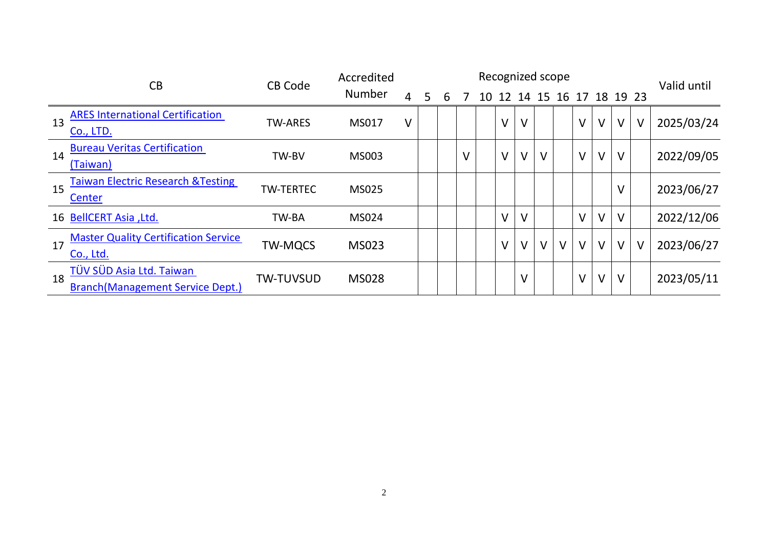| CB |                                                                      | <b>CB Code</b>   | Accredited    |                |   | Valid until |        |    |        |        |        |        |        |        |          |        |            |
|----|----------------------------------------------------------------------|------------------|---------------|----------------|---|-------------|--------|----|--------|--------|--------|--------|--------|--------|----------|--------|------------|
|    |                                                                      |                  | <b>Number</b> | $\overline{4}$ | 5 | 6           |        | 10 | 12     | 14     |        | 15 16  | 17     |        | 18 19 23 |        |            |
| 13 | <b>ARES International Certification</b><br>Co., LTD.                 | <b>TW-ARES</b>   | MS017         | V              |   |             |        |    | V      | $\vee$ |        |        | $\vee$ | $\vee$ | V        | $\vee$ | 2025/03/24 |
| 14 | <b>Bureau Veritas Certification</b><br>(Taiwan)                      | TW-BV            | MS003         |                |   |             | $\vee$ |    | $\vee$ | $\vee$ | V      |        | $\vee$ | $\vee$ | $\vee$   |        | 2022/09/05 |
| 15 | <b>Taiwan Electric Research &amp; Testing</b><br><b>Center</b>       | <b>TW-TERTEC</b> | MS025         |                |   |             |        |    |        |        |        |        |        |        | $\vee$   |        | 2023/06/27 |
|    | 16 BellCERT Asia , Ltd.                                              | TW-BA            | <b>MS024</b>  |                |   |             |        |    | $\vee$ | $\vee$ |        |        | $\vee$ | $\vee$ | $\vee$   |        | 2022/12/06 |
| 17 | <b>Master Quality Certification Service</b><br>Co., Ltd.             | <b>TW-MQCS</b>   | <b>MS023</b>  |                |   |             |        |    | $\vee$ | $\vee$ | $\vee$ | $\vee$ | $\vee$ | $\vee$ | $\vee$   | $\vee$ | 2023/06/27 |
| 18 | TÜV SÜD Asia Ltd. Taiwan<br><b>Branch (Management Service Dept.)</b> | <b>TW-TUVSUD</b> | <b>MS028</b>  |                |   |             |        |    |        | V      |        |        | $\vee$ | $\vee$ | $\vee$   |        | 2023/05/11 |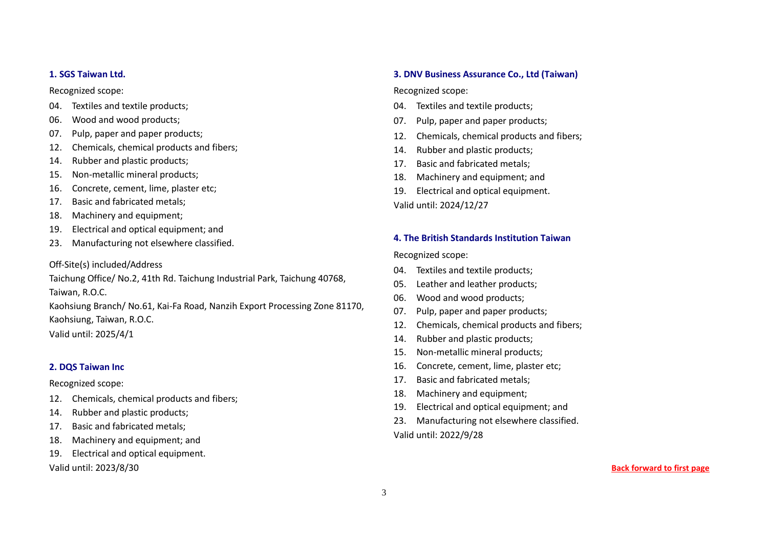#### <span id="page-2-0"></span>**1. SGS Taiwan Ltd.**

Recognized scope:

- 04. Textiles and textile products;
- 06. Wood and wood products;
- 07. Pulp, paper and paper products;
- 12. Chemicals, chemical products and fibers;
- 14. Rubber and plastic products;
- 15. Non-metallic mineral products;
- 16. Concrete, cement, lime, plaster etc;
- 17. Basic and fabricated metals;
- 18. Machinery and equipment;
- 19. Electrical and optical equipment; and
- 23. Manufacturing not elsewhere classified.

## Off-Site(s) included/Address

Taichung Office/ No.2, 41th Rd. Taichung Industrial Park, Taichung 40768, Taiwan, R.O.C.

Kaohsiung Branch/ No.61, Kai-Fa Road, Nanzih Export Processing Zone 81170, Kaohsiung, Taiwan, R.O.C.

Valid until: 2025/4/1

## <span id="page-2-1"></span>**2. DQS Taiwan Inc**

Recognized scope:

- 12. Chemicals, chemical products and fibers;
- 14. Rubber and plastic products;
- 17. Basic and fabricated metals;
- 18. Machinery and equipment; and
- 19. Electrical and optical equipment.

Valid until: 2023/8/30

#### <span id="page-2-2"></span>**3. DNV Business Assurance Co., Ltd (Taiwan)**

Recognized scope:

- 04. Textiles and textile products;
- 07. Pulp, paper and paper products;
- 12. Chemicals, chemical products and fibers;
- 14. Rubber and plastic products;
- 17. Basic and fabricated metals;
- 18. Machinery and equipment; and
- 19. Electrical and optical equipment.

Valid until: 2024/12/27

## <span id="page-2-3"></span>**4. The British Standards Institution Taiwan**

Recognized scope:

- 04. Textiles and textile products;
- 05. Leather and leather products;
- 06. Wood and wood products;
- 07. Pulp, paper and paper products;
- 12. Chemicals, chemical products and fibers;
- 14. Rubber and plastic products;
- 15. Non-metallic mineral products;
- 16. Concrete, cement, lime, plaster etc;
- 17. Basic and fabricated metals;
- 18. Machinery and equipment;
- 19. Electrical and optical equipment; and
- 23. Manufacturing not elsewhere classified. Valid until: 2022/9/28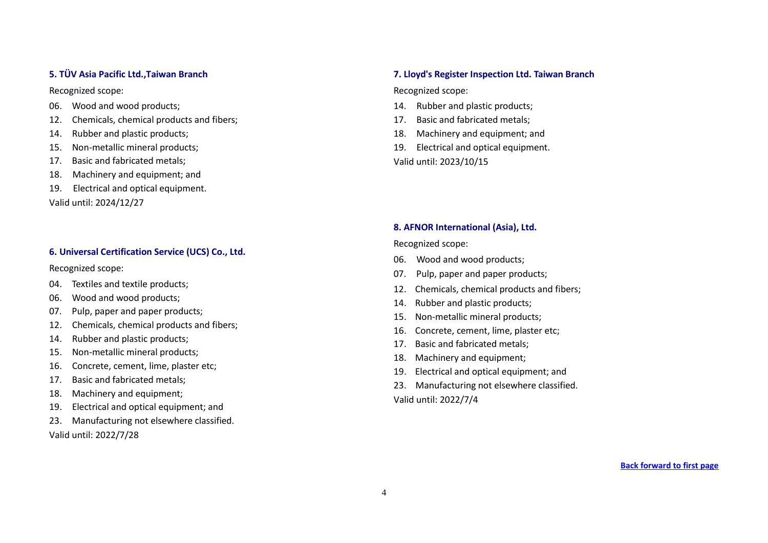### <span id="page-3-0"></span>**5. TÜV Asia Pacific Ltd.,Taiwan Branch**

Recognized scope:

- 06. Wood and wood products;
- 12. Chemicals, chemical products and fibers;
- 14. Rubber and plastic products;
- 15. Non-metallic mineral products;
- 17. Basic and fabricated metals;
- 18. Machinery and equipment; and
- 19.Electrical and optical equipment.

Valid until: 2024/12/27

## <span id="page-3-1"></span>**6. Universal Certification Service (UCS) Co., Ltd.**

Recognized scope:

- 04. Textiles and textile products;
- 06. Wood and wood products;
- 07. Pulp, paper and paper products;
- 12. Chemicals, chemical products and fibers;
- 14. Rubber and plastic products;
- 15. Non-metallic mineral products;
- 16. Concrete, cement, lime, plaster etc;
- 17. Basic and fabricated metals;
- 18. Machinery and equipment;
- 19. Electrical and optical equipment; and
- 23. Manufacturing not elsewhere classified. Valid until: 2022/7/28

#### **7. Lloyd's Register Inspection Ltd. Taiwan Branch**

Recognized scope:

- 14. Rubber and plastic products;
- 17. Basic and fabricated metals;
- 18. Machinery and equipment; and
- 19. Electrical and optical equipment. Valid until: 2023/10/15

### <span id="page-3-2"></span>**8. AFNOR International (Asia), Ltd.**

Recognized scope:

- 06. Wood and wood products;
- 07. Pulp, paper and paper products;
- 12. Chemicals, chemical products and fibers;
- 14. Rubber and plastic products;
- 15. Non-metallic mineral products;
- 16. Concrete, cement, lime, plaster etc;
- 17. Basic and fabricated metals;
- 18. Machinery and equipment;
- 19. Electrical and optical equipment; and
- 23. Manufacturing not elsewhere classified.

Valid until: 2022/7/4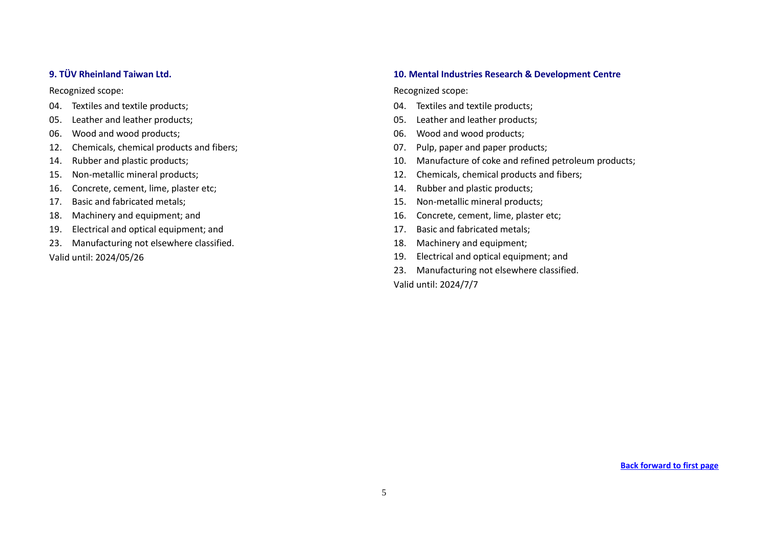#### <span id="page-4-0"></span>**9. TÜV Rheinland Taiwan Ltd.**

Recognized scope:

- 04. Textiles and textile products;
- 05. Leather and leather products;
- 06. Wood and wood products;
- 12. Chemicals, chemical products and fibers;
- 14. Rubber and plastic products;
- 15. Non-metallic mineral products;
- 16. Concrete, cement, lime, plaster etc;
- 17. Basic and fabricated metals;
- 18. Machinery and equipment; and
- 19. Electrical and optical equipment; and
- 23. Manufacturing not elsewhere classified. Valid until: 2024/05/26

### **10. Mental Industries Research & Development Centre**

Recognized scope:

- 04. Textiles and textile products;
- 05. Leather and leather products;
- 06. Wood and wood products;
- 07. Pulp, paper and paper products;
- 10. Manufacture of coke and refined petroleum products;
- 12. Chemicals, chemical products and fibers;
- 14. Rubber and plastic products;
- 15. Non-metallic mineral products;
- 16. Concrete, cement, lime, plaster etc;
- 17. Basic and fabricated metals;
- 18. Machinery and equipment;
- 19. Electrical and optical equipment; and
- 23. Manufacturing not elsewhere classified.

Valid until: 2024/7/7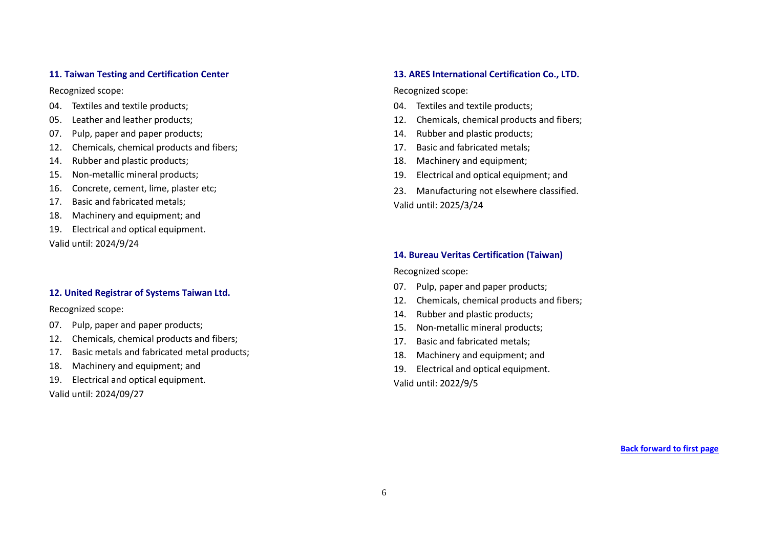#### <span id="page-5-0"></span>**11. Taiwan Testing and Certification Center**

Recognized scope:

- 04. Textiles and textile products;
- 05. Leather and leather products;
- 07. Pulp, paper and paper products;
- 12. Chemicals, chemical products and fibers;
- 14. Rubber and plastic products;
- 15. Non-metallic mineral products;
- 16. Concrete, cement, lime, plaster etc;
- 17. Basic and fabricated metals;
- 18. Machinery and equipment; and
- 19. Electrical and optical equipment. Valid until: 2024/9/24

#### <span id="page-5-1"></span>**12. United Registrar of Systems Taiwan Ltd.**

Recognized scope:

- 07. Pulp, paper and paper products;
- 12. Chemicals, chemical products and fibers;
- 17. Basic metals and fabricated metal products;
- 18. Machinery and equipment; and
- 19. Electrical and optical equipment.

Valid until: 2024/09/27

#### <span id="page-5-2"></span>**13. ARES International Certification Co., LTD.**

Recognized scope:

- 04. Textiles and textile products;
- 12. Chemicals, chemical products and fibers;
- 14. Rubber and plastic products;
- 17. Basic and fabricated metals;
- 18. Machinery and equipment;
- 19. Electrical and optical equipment; and
- 23. Manufacturing not elsewhere classified. Valid until: 2025/3/24

**14. Bureau Veritas Certification (Taiwan)**

Recognized scope:

- 07. Pulp, paper and paper products;
- 12. Chemicals, chemical products and fibers;
- 14. Rubber and plastic products;
- 15. Non-metallic mineral products;
- 17. Basic and fabricated metals;
- 18. Machinery and equipment; and
- 19. Electrical and optical equipment.

Valid until: 2022/9/5

**[Back forward to first page](#page-0-0)**